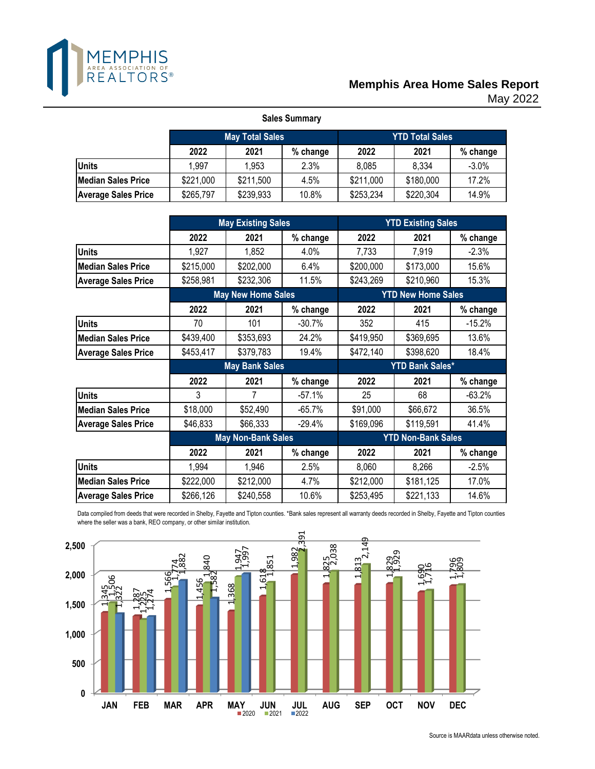

## May 2022 **Memphis Area Home Sales Report**

| <b>Sales Summary</b>       |           |                        |          |                        |           |          |  |  |  |  |  |
|----------------------------|-----------|------------------------|----------|------------------------|-----------|----------|--|--|--|--|--|
|                            |           | <b>May Total Sales</b> |          | <b>YTD Total Sales</b> |           |          |  |  |  |  |  |
|                            | 2022      | 2021                   | % change | 2022                   | 2021      | % change |  |  |  |  |  |
| <b>Units</b>               | 1.997     | 1,953                  | 2.3%     | 8,085                  | 8,334     | $-3.0%$  |  |  |  |  |  |
| <b>Median Sales Price</b>  | \$221,000 | \$211,500              | 4.5%     | \$211,000              | \$180,000 | 17.2%    |  |  |  |  |  |
| <b>Average Sales Price</b> | \$265,797 | \$239,933              | 10.8%    | \$253,234              | \$220,304 | 14.9%    |  |  |  |  |  |

|                            |           | <b>May Existing Sales</b> |          |           | <b>YTD Existing Sales</b> |          |
|----------------------------|-----------|---------------------------|----------|-----------|---------------------------|----------|
|                            | 2022      | 2021                      | % change | 2022      | 2021                      | % change |
| <b>Units</b>               | 1,927     | 1,852                     | 4.0%     | 7,733     | 7,919                     | $-2.3%$  |
| <b>Median Sales Price</b>  | \$215,000 | \$202,000                 | 6.4%     | \$200,000 | \$173,000                 | 15.6%    |
| <b>Average Sales Price</b> | \$258,981 | \$232,306                 | 11.5%    | \$243,269 | \$210,960                 | 15.3%    |
|                            |           | <b>May New Home Sales</b> |          |           | <b>YTD New Home Sales</b> |          |
|                            | 2022      | 2021                      | % change | 2022      | 2021                      | % change |
| <b>Units</b>               | 70        | 101                       | $-30.7%$ | 352       | 415                       | $-15.2%$ |
| <b>Median Sales Price</b>  | \$439,400 | \$353,693                 | 24.2%    | \$419,950 | \$369,695                 | 13.6%    |
| <b>Average Sales Price</b> | \$453,417 | \$379,783                 | 19.4%    | \$472,140 | \$398,620                 | 18.4%    |
|                            |           | <b>May Bank Sales</b>     |          |           | <b>YTD Bank Sales*</b>    |          |
|                            | 2022      | 2021                      | % change | 2022      | 2021                      | % change |
| <b>Units</b>               | 3         | 7                         | $-57.1%$ | 25        | 68                        | $-63.2%$ |
| <b>Median Sales Price</b>  | \$18,000  | \$52,490                  | $-65.7%$ | \$91,000  | \$66,672                  | 36.5%    |
| <b>Average Sales Price</b> | \$46,833  | \$66,333                  | $-29.4%$ | \$169,096 | \$119,591                 | 41.4%    |
|                            |           | <b>May Non-Bank Sales</b> |          |           | <b>YTD Non-Bank Sales</b> |          |
|                            | 2022      | 2021                      | % change | 2022      | 2021                      | % change |
| <b>Units</b>               | 1,994     | 1,946                     | 2.5%     | 8,060     | 8,266                     | $-2.5%$  |
| <b>Median Sales Price</b>  | \$222,000 | \$212,000                 | 4.7%     | \$212,000 | \$181,125                 | 17.0%    |
| <b>Average Sales Price</b> | \$266,126 | \$240,558                 | 10.6%    | \$253,495 | \$221,133                 | 14.6%    |

Data compiled from deeds that were recorded in Shelby, Fayette and Tipton counties. \*Bank sales represent all warranty deeds recorded in Shelby, Fayette and Tipton counties where the seller was a bank, REO company, or other similar institution.

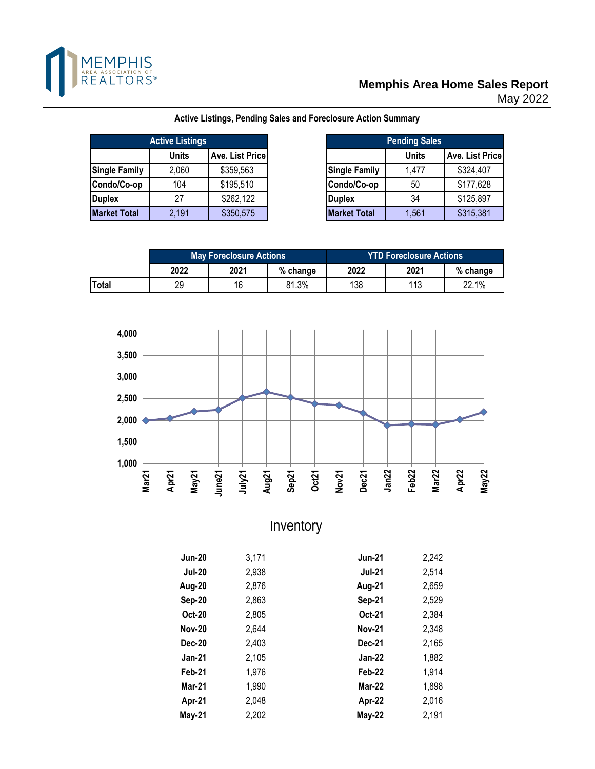

## **Memphis Area Home Sales Report**

May 2022

|                      | <b>Active Listings</b> |                 |
|----------------------|------------------------|-----------------|
|                      | <b>Units</b>           | Ave. List Price |
| <b>Single Family</b> | 2,060                  | \$359,563       |
| Condo/Co-op          | 104                    | \$195,510       |
| Duplex               | 27                     | \$262,122       |
| <b>Market Total</b>  | 2,191                  | \$350,575       |

**Active Listings, Pending Sales and Foreclosure Action Summary**

| e Listings |                 |                      | <b>Pending Sales</b> |                 |  |  |  |  |
|------------|-----------------|----------------------|----------------------|-----------------|--|--|--|--|
| Units      | Ave. List Price |                      | <b>Units</b>         | Ave. List Price |  |  |  |  |
| 2,060      | \$359,563       | <b>Single Family</b> | 1,477                | \$324,407       |  |  |  |  |
| 104        | \$195,510       | Condo/Co-op          | 50                   | \$177,628       |  |  |  |  |
| 27         | \$262,122       | <b>Duplex</b>        | 34                   | \$125,897       |  |  |  |  |
| 2,191      | \$350,575       | <b>Market Total</b>  | 1,561                | \$315,381       |  |  |  |  |

|       |      | <b>May Foreclosure Actions</b> |          | <b>YTD Foreclosure Actions</b> |      |          |  |  |  |
|-------|------|--------------------------------|----------|--------------------------------|------|----------|--|--|--|
|       | 2022 | 2021                           | % change | 2022                           | 2021 | % change |  |  |  |
| Total | 29   | 16                             | 81.3%    | 138                            | 112  | 22.1%    |  |  |  |



Inventory

| <b>Jun-20</b> | 3,171 | <b>Jun-21</b> | 2,242 |
|---------------|-------|---------------|-------|
| <b>Jul-20</b> | 2,938 | <b>Jul-21</b> | 2,514 |
| Aug-20        | 2,876 | Aug-21        | 2,659 |
| Sep-20        | 2,863 | <b>Sep-21</b> | 2,529 |
| Oct-20        | 2,805 | Oct-21        | 2,384 |
| <b>Nov-20</b> | 2,644 | <b>Nov-21</b> | 2,348 |
| <b>Dec-20</b> | 2,403 | Dec-21        | 2,165 |
| <b>Jan-21</b> | 2,105 | <b>Jan-22</b> | 1,882 |
| Feb-21        | 1,976 | Feb-22        | 1,914 |
| <b>Mar-21</b> | 1,990 | <b>Mar-22</b> | 1,898 |
| Apr-21        | 2,048 | Apr-22        | 2,016 |
| May-21        | 2,202 | <b>May-22</b> | 2,191 |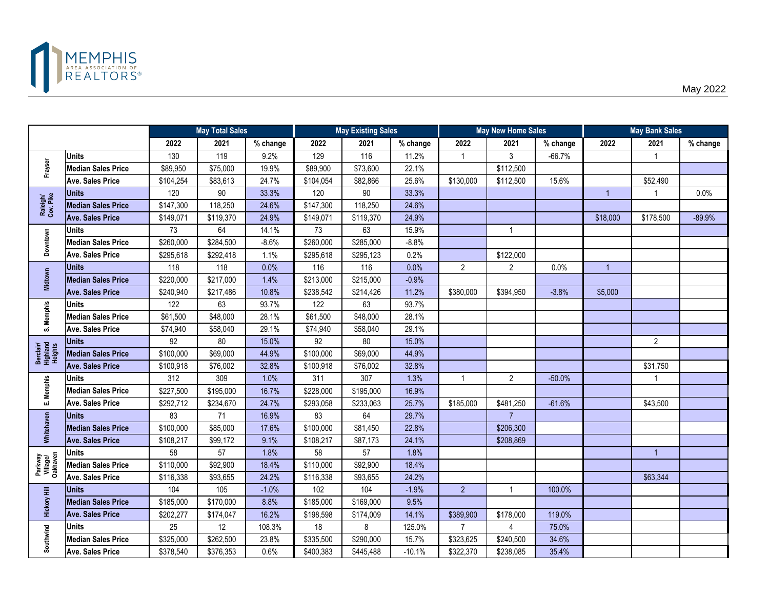

|                                  |                           |           | <b>May Total Sales</b> |          |           | <b>May Existing Sales</b> |          | <b>May New Home Sales</b> |                |          | <b>May Bank Sales</b> |                |          |
|----------------------------------|---------------------------|-----------|------------------------|----------|-----------|---------------------------|----------|---------------------------|----------------|----------|-----------------------|----------------|----------|
|                                  |                           | 2022      | 2021                   | % change | 2022      | 2021                      | % change | 2022                      | 2021           | % change | 2022                  | 2021           | % change |
|                                  | <b>Units</b>              | 130       | 119                    | 9.2%     | 129       | 116                       | 11.2%    | $\mathbf 1$               | 3              | $-66.7%$ |                       |                |          |
| Frayser                          | <b>Median Sales Price</b> | \$89,950  | \$75,000               | 19.9%    | \$89,900  | \$73,600                  | 22.1%    |                           | \$112,500      |          |                       |                |          |
|                                  | <b>Ave. Sales Price</b>   | \$104,254 | \$83,613               | 24.7%    | \$104,054 | \$82,866                  | 25.6%    | \$130,000                 | \$112,500      | 15.6%    |                       | \$52,490       |          |
|                                  | <b>Units</b>              | 120       | $90\,$                 | 33.3%    | 120       | 90                        | 33.3%    |                           |                |          | $\overline{1}$        |                | 0.0%     |
| Raleigh/<br>Cov. Pike            | <b>Median Sales Price</b> | \$147,300 | 118,250                | 24.6%    | \$147,300 | 118,250                   | 24.6%    |                           |                |          |                       |                |          |
|                                  | <b>Ave. Sales Price</b>   | \$149,071 | \$119,370              | 24.9%    | \$149,071 | \$119,370                 | 24.9%    |                           |                |          | \$18,000              | \$178,500      | $-89.9%$ |
|                                  | <b>Units</b>              | 73        | 64                     | 14.1%    | 73        | 63                        | 15.9%    |                           | $\mathbf{1}$   |          |                       |                |          |
| Downtown                         | <b>Median Sales Price</b> | \$260,000 | \$284,500              | $-8.6%$  | \$260,000 | \$285,000                 | $-8.8%$  |                           |                |          |                       |                |          |
|                                  | <b>Ave. Sales Price</b>   | \$295,618 | \$292,418              | 1.1%     | \$295,618 | \$295,123                 | 0.2%     |                           | \$122,000      |          |                       |                |          |
|                                  | <b>Units</b>              | 118       | 118                    | 0.0%     | 116       | 116                       | 0.0%     | $\overline{2}$            | $\overline{2}$ | 0.0%     | $\overline{1}$        |                |          |
| Midtown                          | <b>Median Sales Price</b> | \$220,000 | \$217,000              | 1.4%     | \$213,000 | \$215,000                 | $-0.9%$  |                           |                |          |                       |                |          |
|                                  | <b>Ave. Sales Price</b>   | \$240,940 | \$217,486              | 10.8%    | \$238,542 | \$214,426                 | 11.2%    | \$380,000                 | \$394,950      | $-3.8%$  | \$5,000               |                |          |
|                                  | <b>Units</b>              | 122       | 63                     | 93.7%    | 122       | 63                        | 93.7%    |                           |                |          |                       |                |          |
| S. Memphis                       | <b>Median Sales Price</b> | \$61,500  | \$48,000               | 28.1%    | \$61,500  | \$48,000                  | 28.1%    |                           |                |          |                       |                |          |
|                                  | <b>Ave. Sales Price</b>   | \$74,940  | \$58,040               | 29.1%    | \$74,940  | \$58,040                  | 29.1%    |                           |                |          |                       |                |          |
|                                  | <b>Units</b>              | 92        | 80                     | 15.0%    | 92        | 80                        | 15.0%    |                           |                |          |                       | $\overline{2}$ |          |
| Berclair/<br>Highland<br>Heights | <b>Median Sales Price</b> | \$100,000 | \$69,000               | 44.9%    | \$100,000 | \$69,000                  | 44.9%    |                           |                |          |                       |                |          |
|                                  | <b>Ave. Sales Price</b>   | \$100,918 | \$76,002               | 32.8%    | \$100,918 | \$76,002                  | 32.8%    |                           |                |          |                       | \$31,750       |          |
|                                  | <b>Units</b>              | 312       | 309                    | 1.0%     | 311       | 307                       | 1.3%     | 1                         | $\overline{2}$ | $-50.0%$ |                       |                |          |
| E. Memphis                       | <b>Median Sales Price</b> | \$227,500 | \$195,000              | 16.7%    | \$228,000 | \$195,000                 | 16.9%    |                           |                |          |                       |                |          |
|                                  | <b>Ave. Sales Price</b>   | \$292,712 | \$234,670              | 24.7%    | \$293,058 | \$233,063                 | 25.7%    | \$185,000                 | \$481,250      | $-61.6%$ |                       | \$43,500       |          |
|                                  | <b>Units</b>              | 83        | 71                     | 16.9%    | 83        | 64                        | 29.7%    |                           | $\overline{7}$ |          |                       |                |          |
| Whitehaven                       | <b>Median Sales Price</b> | \$100,000 | \$85,000               | 17.6%    | \$100,000 | \$81,450                  | 22.8%    |                           | \$206,300      |          |                       |                |          |
|                                  | <b>Ave. Sales Price</b>   | \$108,217 | \$99,172               | 9.1%     | \$108,217 | \$87,173                  | 24.1%    |                           | \$208,869      |          |                       |                |          |
|                                  | Units                     | 58        | 57                     | 1.8%     | 58        | 57                        | 1.8%     |                           |                |          |                       | $\overline{1}$ |          |
| Parkway<br>Village/<br>Oakhaven  | <b>Median Sales Price</b> | \$110,000 | \$92,900               | 18.4%    | \$110,000 | \$92,900                  | 18.4%    |                           |                |          |                       |                |          |
|                                  | <b>Ave. Sales Price</b>   | \$116,338 | \$93,655               | 24.2%    | \$116,338 | \$93,655                  | 24.2%    |                           |                |          |                       | \$63,344       |          |
|                                  | <b>Units</b>              | 104       | 105                    | $-1.0%$  | 102       | 104                       | $-1.9%$  | $\overline{2}$            | $\mathbf{1}$   | 100.0%   |                       |                |          |
| <b>Hickory Hill</b>              | <b>Median Sales Price</b> | \$185,000 | \$170,000              | 8.8%     | \$185,000 | \$169,000                 | 9.5%     |                           |                |          |                       |                |          |
|                                  | <b>Ave. Sales Price</b>   | \$202,277 | \$174,047              | 16.2%    | \$198,598 | \$174,009                 | 14.1%    | \$389,900                 | \$178,000      | 119.0%   |                       |                |          |
|                                  | <b>Units</b>              | 25        | 12                     | 108.3%   | 18        | 8                         | 125.0%   | $\overline{7}$            | 4              | 75.0%    |                       |                |          |
| Southwind                        | <b>Median Sales Price</b> | \$325,000 | \$262,500              | 23.8%    | \$335,500 | \$290,000                 | 15.7%    | \$323,625                 | \$240,500      | 34.6%    |                       |                |          |
|                                  | <b>Ave. Sales Price</b>   | \$378,540 | \$376,353              | 0.6%     | \$400,383 | \$445,488                 | $-10.1%$ | \$322,370                 | \$238,085      | 35.4%    |                       |                |          |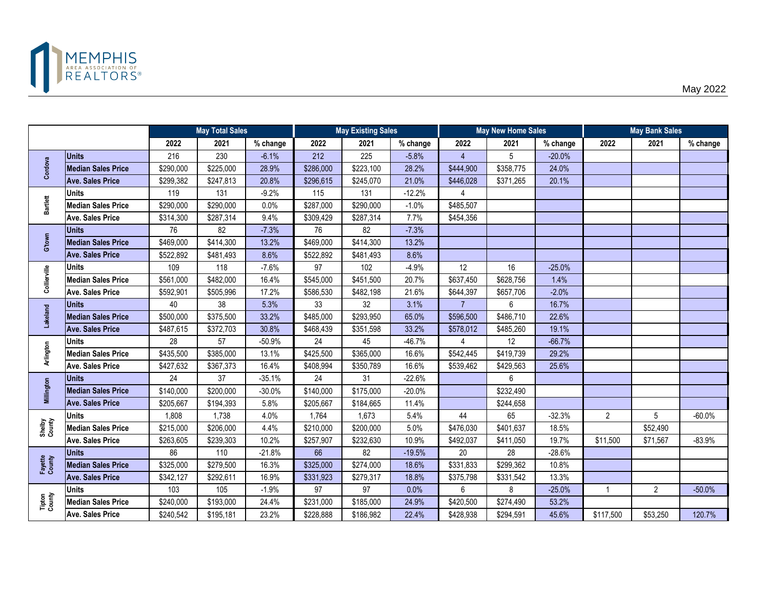

|                   |                           |           | <b>May Total Sales</b> |          |           | <b>May Existing Sales</b> |          | <b>May New Home Sales</b> |           |          | <b>May Bank Sales</b> |                |          |
|-------------------|---------------------------|-----------|------------------------|----------|-----------|---------------------------|----------|---------------------------|-----------|----------|-----------------------|----------------|----------|
|                   |                           | 2022      | 2021                   | % change | 2022      | 2021                      | % change | 2022                      | 2021      | % change | 2022                  | 2021           | % change |
|                   | <b>Units</b>              | 216       | 230                    | $-6.1%$  | 212       | 225                       | $-5.8%$  | $\overline{4}$            | 5         | $-20.0%$ |                       |                |          |
| Cordova           | <b>Median Sales Price</b> | \$290,000 | \$225,000              | 28.9%    | \$286,000 | \$223,100                 | 28.2%    | \$444,900                 | \$358,775 | 24.0%    |                       |                |          |
|                   | <b>Ave. Sales Price</b>   | \$299,382 | \$247,813              | 20.8%    | \$296,615 | \$245,070                 | 21.0%    | \$446,028                 | \$371,265 | 20.1%    |                       |                |          |
|                   | <b>Units</b>              | 119       | 131                    | $-9.2%$  | 115       | 131                       | $-12.2%$ | 4                         |           |          |                       |                |          |
| <b>Bartlett</b>   | <b>Median Sales Price</b> | \$290,000 | \$290,000              | 0.0%     | \$287,000 | \$290,000                 | $-1.0%$  | \$485,507                 |           |          |                       |                |          |
|                   | <b>Ave. Sales Price</b>   | \$314,300 | \$287,314              | 9.4%     | \$309,429 | \$287,314                 | 7.7%     | \$454,356                 |           |          |                       |                |          |
|                   | <b>Units</b>              | 76        | 82                     | $-7.3%$  | 76        | 82                        | $-7.3%$  |                           |           |          |                       |                |          |
| G'town            | <b>Median Sales Price</b> | \$469,000 | \$414,300              | 13.2%    | \$469,000 | \$414,300                 | 13.2%    |                           |           |          |                       |                |          |
|                   | <b>Ave. Sales Price</b>   | \$522,892 | \$481,493              | 8.6%     | \$522,892 | \$481,493                 | 8.6%     |                           |           |          |                       |                |          |
|                   | <b>Units</b>              | 109       | 118                    | $-7.6%$  | 97        | 102                       | $-4.9%$  | 12                        | 16        | $-25.0%$ |                       |                |          |
| Collierville      | <b>Median Sales Price</b> | \$561,000 | \$482,000              | 16.4%    | \$545,000 | \$451,500                 | 20.7%    | \$637,450                 | \$628,756 | 1.4%     |                       |                |          |
|                   | <b>Ave. Sales Price</b>   | \$592,901 | \$505,996              | 17.2%    | \$586,530 | \$482,198                 | 21.6%    | \$644,397                 | \$657,706 | $-2.0%$  |                       |                |          |
|                   | <b>Units</b>              | 40        | 38                     | 5.3%     | 33        | 32                        | 3.1%     | $\overline{7}$            | 6         | 16.7%    |                       |                |          |
| Lakeland          | <b>Median Sales Price</b> | \$500,000 | \$375,500              | 33.2%    | \$485,000 | \$293,950                 | 65.0%    | \$596,500                 | \$486,710 | 22.6%    |                       |                |          |
|                   | <b>Ave. Sales Price</b>   | \$487,615 | \$372,703              | 30.8%    | \$468,439 | \$351,598                 | 33.2%    | \$578,012                 | \$485,260 | 19.1%    |                       |                |          |
|                   | <b>Units</b>              | 28        | 57                     | $-50.9%$ | 24        | 45                        | $-46.7%$ | 4                         | 12        | $-66.7%$ |                       |                |          |
| Arlington         | <b>Median Sales Price</b> | \$435,500 | \$385,000              | 13.1%    | \$425,500 | \$365,000                 | 16.6%    | \$542,445                 | \$419,739 | 29.2%    |                       |                |          |
|                   | Ave. Sales Price          | \$427,632 | \$367,373              | 16.4%    | \$408,994 | \$350,789                 | 16.6%    | \$539,462                 | \$429,563 | 25.6%    |                       |                |          |
|                   | <b>Units</b>              | 24        | 37                     | $-35.1%$ | 24        | 31                        | $-22.6%$ |                           | 6         |          |                       |                |          |
| Millington        | <b>Median Sales Price</b> | \$140,000 | \$200,000              | $-30.0%$ | \$140,000 | \$175,000                 | $-20.0%$ |                           | \$232,490 |          |                       |                |          |
|                   | <b>Ave. Sales Price</b>   | \$205,667 | \$194,393              | 5.8%     | \$205,667 | \$184,665                 | 11.4%    |                           | \$244,658 |          |                       |                |          |
|                   | <b>Units</b>              | 1,808     | 1,738                  | 4.0%     | 1,764     | 1,673                     | 5.4%     | 44                        | 65        | $-32.3%$ | $\overline{2}$        | 5              | $-60.0%$ |
| Shelby<br>County  | <b>Median Sales Price</b> | \$215,000 | \$206,000              | 4.4%     | \$210,000 | \$200,000                 | 5.0%     | \$476,030                 | \$401,637 | 18.5%    |                       | \$52,490       |          |
|                   | <b>Ave. Sales Price</b>   | \$263,605 | \$239,303              | 10.2%    | \$257,907 | \$232,630                 | 10.9%    | \$492,037                 | \$411,050 | 19.7%    | \$11,500              | \$71,567       | $-83.9%$ |
|                   | <b>Units</b>              | 86        | 110                    | $-21.8%$ | 66        | 82                        | $-19.5%$ | 20                        | 28        | $-28.6%$ |                       |                |          |
| Fayette<br>County | <b>Median Sales Price</b> | \$325,000 | \$279,500              | 16.3%    | \$325,000 | \$274,000                 | 18.6%    | \$331,833                 | \$299,362 | 10.8%    |                       |                |          |
|                   | <b>Ave. Sales Price</b>   | \$342,127 | \$292,611              | 16.9%    | \$331,923 | \$279,317                 | 18.8%    | \$375,798                 | \$331,542 | 13.3%    |                       |                |          |
|                   | <b>Units</b>              | 103       | 105                    | $-1.9%$  | 97        | 97                        | 0.0%     | 6                         | 8         | $-25.0%$ | $\overline{1}$        | $\overline{2}$ | $-50.0%$ |
| Tipton<br>County  | <b>Median Sales Price</b> | \$240,000 | \$193,000              | 24.4%    | \$231,000 | \$185,000                 | 24.9%    | \$420,500                 | \$274,490 | 53.2%    |                       |                |          |
|                   | <b>Ave. Sales Price</b>   | \$240,542 | \$195,181              | 23.2%    | \$228,888 | \$186,982                 | 22.4%    | \$428,938                 | \$294,591 | 45.6%    | \$117,500             | \$53,250       | 120.7%   |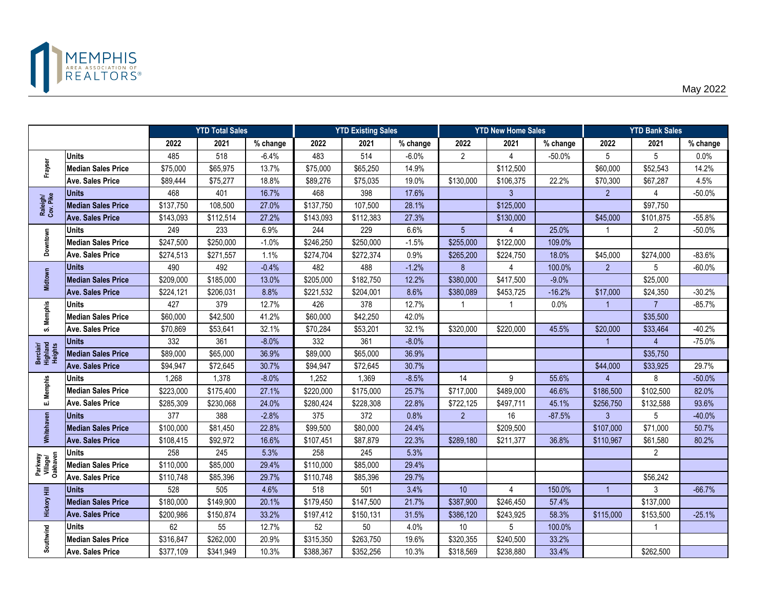

|                                  |                           |           | <b>YTD Total Sales</b> |          |           | <b>YTD Existing Sales</b> |          |                  | <b>YTD New Home Sales</b> |          | <b>YTD Bank Sales</b> |                |          |
|----------------------------------|---------------------------|-----------|------------------------|----------|-----------|---------------------------|----------|------------------|---------------------------|----------|-----------------------|----------------|----------|
|                                  |                           | 2022      | 2021                   | % change | 2022      | 2021                      | % change | 2022             | 2021                      | % change | 2022                  | 2021           | % change |
|                                  | <b>Units</b>              | 485       | 518                    | $-6.4%$  | 483       | 514                       | $-6.0%$  | $\overline{2}$   | $\Delta$                  | $-50.0%$ | 5                     | 5              | 0.0%     |
| Frayser                          | <b>Median Sales Price</b> | \$75,000  | \$65,975               | 13.7%    | \$75,000  | \$65,250                  | 14.9%    |                  | \$112,500                 |          | \$60,000              | \$52,543       | 14.2%    |
|                                  | <b>Ave. Sales Price</b>   | \$89,444  | \$75,277               | 18.8%    | \$89,276  | \$75,035                  | 19.0%    | \$130,000        | \$106,375                 | 22.2%    | \$70,300              | \$67,287       | 4.5%     |
|                                  | <b>Units</b>              | 468       | 401                    | 16.7%    | 468       | 398                       | 17.6%    |                  | 3                         |          | $\overline{2}$        | 4              | $-50.0%$ |
| Raleigh/<br>Cov. Pike            | <b>Median Sales Price</b> | \$137,750 | 108,500                | 27.0%    | \$137,750 | 107,500                   | 28.1%    |                  | \$125,000                 |          |                       | \$97,750       |          |
|                                  | <b>Ave. Sales Price</b>   | \$143,093 | \$112,514              | 27.2%    | \$143,093 | \$112,383                 | 27.3%    |                  | \$130,000                 |          | \$45,000              | \$101,875      | $-55.8%$ |
|                                  | <b>Units</b>              | 249       | 233                    | 6.9%     | 244       | 229                       | 6.6%     | 5 <sup>5</sup>   | 4                         | 25.0%    | -1                    | $\overline{2}$ | $-50.0%$ |
| Downtown                         | <b>Median Sales Price</b> | \$247,500 | $\overline{$}250,000$  | $-1.0%$  | \$246,250 | \$250,000                 | $-1.5%$  | \$255,000        | \$122,000                 | 109.0%   |                       |                |          |
|                                  | <b>Ave. Sales Price</b>   | \$274,513 | \$271,557              | 1.1%     | \$274,704 | \$272,374                 | 0.9%     | \$265,200        | \$224,750                 | 18.0%    | \$45,000              | \$274,000      | $-83.6%$ |
|                                  | <b>Units</b>              | 490       | 492                    | $-0.4%$  | 482       | 488                       | $-1.2%$  | $\boldsymbol{8}$ | 4                         | 100.0%   | 2                     | 5              | $-60.0%$ |
| <b>Midtown</b>                   | <b>Median Sales Price</b> | \$209,000 | \$185,000              | 13.0%    | \$205,000 | \$182,750                 | 12.2%    | \$380,000        | \$417,500                 | $-9.0%$  |                       | \$25,000       |          |
|                                  | <b>Ave. Sales Price</b>   | \$224,121 | \$206,031              | 8.8%     | \$221,532 | \$204,001                 | 8.6%     | \$380,089        | \$453,725                 | $-16.2%$ | \$17,000              | \$24,350       | $-30.2%$ |
|                                  | <b>Units</b>              | 427       | 379                    | 12.7%    | 426       | 378                       | 12.7%    |                  | -1                        | 0.0%     | -1                    | $\overline{7}$ | $-85.7%$ |
| S. Memphis                       | <b>Median Sales Price</b> | \$60,000  | \$42,500               | 41.2%    | \$60,000  | \$42,250                  | 42.0%    |                  |                           |          |                       | \$35,500       |          |
|                                  | <b>Ave. Sales Price</b>   | \$70,869  | \$53,641               | 32.1%    | \$70,284  | \$53,201                  | 32.1%    | \$320,000        | \$220,000                 | 45.5%    | \$20,000              | \$33,464       | $-40.2%$ |
|                                  | <b>Units</b>              | 332       | 361                    | $-8.0%$  | 332       | 361                       | $-8.0%$  |                  |                           |          | $\overline{1}$        |                | $-75.0%$ |
| Berclair/<br>Highland<br>Heights | <b>Median Sales Price</b> | \$89,000  | \$65,000               | 36.9%    | \$89,000  | \$65,000                  | 36.9%    |                  |                           |          |                       | \$35,750       |          |
|                                  | <b>Ave. Sales Price</b>   | \$94,947  | \$72,645               | 30.7%    | \$94,947  | \$72,645                  | 30.7%    |                  |                           |          | \$44,000              | \$33,925       | 29.7%    |
|                                  | Units                     | 1,268     | 1,378                  | $-8.0\%$ | 1,252     | 1,369                     | $-8.5%$  | 14               | 9                         | 55.6%    | Δ                     | 8              | $-50.0%$ |
| E. Memphis                       | <b>Median Sales Price</b> | \$223,000 | \$175,400              | 27.1%    | \$220,000 | \$175,000                 | 25.7%    | \$717,000        | \$489,000                 | 46.6%    | \$186,500             | \$102,500      | 82.0%    |
|                                  | <b>Ave. Sales Price</b>   | \$285,309 | \$230,068              | 24.0%    | \$280,424 | \$228,308                 | 22.8%    | \$722,125        | \$497,711                 | 45.1%    | \$256,750             | \$132,588      | 93.6%    |
|                                  | <b>Units</b>              | 377       | 388                    | $-2.8%$  | 375       | 372                       | 0.8%     | $\overline{2}$   | 16                        | $-87.5%$ | 3                     | 5              | $-40.0%$ |
| Whitehaven                       | <b>Median Sales Price</b> | \$100,000 | \$81,450               | 22.8%    | \$99,500  | \$80,000                  | 24.4%    |                  | \$209,500                 |          | \$107,000             | \$71,000       | 50.7%    |
|                                  | <b>Ave. Sales Price</b>   | \$108,415 | \$92,972               | 16.6%    | \$107,451 | \$87,879                  | 22.3%    | \$289,180        | \$211,377                 | 36.8%    | \$110,967             | \$61,580       | 80.2%    |
|                                  | <b>Units</b>              | 258       | 245                    | 5.3%     | 258       | 245                       | 5.3%     |                  |                           |          |                       | $\overline{2}$ |          |
| Parkway<br>Village/<br>Oakhaven  | <b>Median Sales Price</b> | \$110,000 | \$85,000               | 29.4%    | \$110,000 | \$85,000                  | 29.4%    |                  |                           |          |                       |                |          |
|                                  | <b>Ave. Sales Price</b>   | \$110,748 | \$85,396               | 29.7%    | \$110,748 | \$85,396                  | 29.7%    |                  |                           |          |                       | \$56,242       |          |
|                                  | <b>Units</b>              | 528       | 505                    | 4.6%     | 518       | 501                       | 3.4%     | 10 <sup>°</sup>  | 4                         | 150.0%   | $\overline{1}$        | 3              | $-66.7%$ |
| <b>Hickory Hill</b>              | <b>Median Sales Price</b> | \$180,000 | \$149,900              | 20.1%    | \$179,450 | \$147,500                 | 21.7%    | \$387,900        | \$246,450                 | 57.4%    |                       | \$137,000      |          |
|                                  | <b>Ave. Sales Price</b>   | \$200,986 | \$150,874              | 33.2%    | \$197,412 | \$150,131                 | 31.5%    | \$386,120        | \$243,925                 | 58.3%    | \$115,000             | \$153,500      | $-25.1%$ |
|                                  | <b>Units</b>              | 62        | 55                     | 12.7%    | 52        | 50                        | 4.0%     | 10               | 5                         | 100.0%   |                       | $\mathbf 1$    |          |
| Southwind                        | <b>Median Sales Price</b> | \$316,847 | \$262,000              | 20.9%    | \$315,350 | \$263,750                 | 19.6%    | \$320,355        | \$240,500                 | 33.2%    |                       |                |          |
|                                  | <b>Ave. Sales Price</b>   | \$377,109 | \$341,949              | 10.3%    | \$388,367 | \$352,256                 | 10.3%    | \$318,569        | \$238,880                 | 33.4%    |                       | \$262,500      |          |